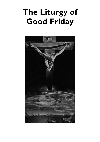# **The Liturgy of Good Friday**

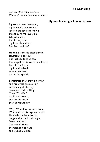#### **The Gathering**

*The ministers enter in silence Words of introduction may be spoken*

#### **Hymn - My song is love unknown**

My song is love unknown, my Saviour's love to me, love to the loveless shown that they might lovely be. Oh, who am I, that for my sake my Lord should take frail flesh and die?

He came from his blest throne salvation to bestow, but such disdain! So few the longed-for Christ would know! But oh, my friend, my friend indeed, who at my need his life did spend!

Sometimes they crowd his way and his sweet praises sing, resounding all the day hosannas to their King. Then "Crucify!" is all their breath, and for his death they thirst and cry.

Why? What has my Lord done? What makes this rage and spite? He made the lame to run, he gave the blind their sight. Sweet injuries! Yet they at these themselves displease and 'gainst him rise.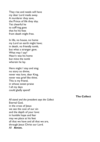They rise and needs will have my dear Lord made away. A murderer they save, the Prince of life they slay. Yet cheerful he to suff'ring goes that he his foes from death might free.

In life, no house, no home my Lord on earth might have; in death, no friendly tomb, but what a stranger gave. What may I say? Heav'n was his home but mine the tomb wherein he lay.

Here might I stay and sing; no story so divine, never was love, dear King, never was grief like thine. This is my friend, in whose sweet praise I all my days could gladly spend!

*All stand and the president says the Collect* Eternal God, in the cross of Jesus we see the cost of our sin and the depth of your love: in humble hope and fear may we place at his feet all that we have and all that we are, through Jesus Christ our Lord. *All* **Amen.**

#### **The Collect**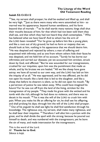#### **The Liturgy of the Word Old Testament Reading**

#### **Isaiah 52:13-53:12**

**<sup>13</sup>** See, my servant shall prosper; he shall be exalted and lifted up, and shall be very high. **<sup>14</sup>** Just as there were many who were astonished at him - so marred was his appearance, beyond human semblance, and his form beyond that of mortals - **<sup>15</sup>** so he shall startle many nations; kings shall shut their mouths because of him; for that which had not been told them they shall see, and that which they had not heard they shall contemplate. **<sup>1</sup>** Who has believed what we have heard? And to whom has the arm of the LORD been revealed? **<sup>2</sup>** For he grew up before him like a young plant, and like a root out of dry ground; he had no form or majesty that we should look at him, nothing in his appearance that we should desire him. **<sup>3</sup>** He was despised and rejected by others; a man of suffering and acquainted with infirmity; and as one from whom others hide their faces he was despised, and we held him of no account. **<sup>4</sup>** Surely he has borne our infirmities and carried our diseases; yet we accounted him stricken, struck down by God, and afflicted. **<sup>5</sup>** But he was wounded for our transgressions, crushed for our iniquities; upon him was the punishment that made us whole, and by his bruises we are healed. **<sup>6</sup>** All we like sheep have gone astray; we have all turned to our own way, and the LORD has laid on him the iniquity of us all. **<sup>7</sup>** He was oppressed, and he was afflicted, yet he did not open his mouth; like a lamb that is led to the slaughter, and like a sheep that before its shearers is silent, so he did not open his mouth. **<sup>8</sup>** By a perversion of justice he was taken away. Who could have imagined his future? For he was cut off from the land of the living, stricken for the transgression of my people. **<sup>9</sup>** They made his grave with the wicked and his tomb with the rich, although he had done no violence, and there was no deceit in his mouth. **<sup>10</sup>** Yet it was the will of the LORD to crush him with pain.When you make his life an offering for sin, he shall see his offspring, and shall prolong his days; through him the will of the LORD shall prosper. **<sup>11</sup>**Out of his anguish he shall see light; he shall find satisfaction through his knowledge. The righteous one, my servant, shall make many righteous, and he shall bear their iniquities. **<sup>12</sup>** Therefore I will allot him a portion with the great, and he shall divide the spoil with the strong; because he poured out himself to death, and was numbered with the transgressors; yet he bore the sin of many, and made intercession for the transgressors.

This is the word of the Lord. *All* **Thanks be to God.** *Silence is kept.*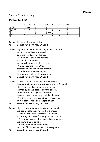*Psalm 22 is said or sung*

# **Psalm 22: 1-24**



*Cantor* Be not far from me, O Lord.

#### *All* **Be not far from me, O Lord.**

*Cantor* **<sup>1</sup>**My God, my God, why have you forsaken me, and are so far from my salvation, from the words of my distress? *<sup>2</sup>* O my God, I cry in the daytime, but you do not answer; and by night also, but I find no rest. *<sup>3</sup>* Yet you are the Holy One, enthroned upon the praises of Israel. *<sup>4</sup>* Our forebears trusted in you; they trusted, and you delivered them.

*All* **Be not far from me, O Lord.**

*Cantor <sup>5</sup>* They cried out to you and were delivered; they put their trust in you and were not confounded. *<sup>6</sup>* But as for me, I am a worm and no man, scorned by all and despised by the people. *<sup>7</sup>* All who see me laugh me to scorn; they curl their lips and wag their heads, saying, *8* 'He trusted in the Lord; let him deliver him; let him deliver him, if he delights in him.'

*All* **Be not far from me, O Lord.**

*Cantor <sup>9</sup>* But it is you that took me out of the womb and laid me safe upon my mother's breast. *<sup>10</sup>* On you was I cast ever since I was born; you are my God even from my mother's womb. *<sup>11</sup>* Be not far from me, for trouble is near at hand and there is none to help. *<sup>12</sup>* Mighty oxen come around me; fat bulls of Bashan close me in on every side.

*All* **Be not far from me, O Lord.**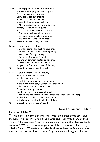*Cantor <sup>13</sup>* They gape upon me with their mouths, as it were a ramping and a roaring lion. *<sup>14</sup>* I am poured out like water; all my bones are out of joint; my heart has become like wax melting in the depths of my body. *<sup>15</sup>* My mouth is dried up like a potsherd; my tongue cleaves to my gums; you have laid me in the dust of death. *<sup>16</sup>* For the hounds are all about me, the pack of evildoers close in on me; they pierce my hands and my feet.

#### *All* **Be not far from me, O Lord.**

*Cantor <sup>17</sup>* I can count all my bones; they stand staring and looking upon me. *<sup>18</sup>* They divide my garments among them; they cast lots for my clothing. *<sup>19</sup>* Be not far from me, O Lord; you are my strength; hasten to help me. *<sup>20</sup>* Deliver my soul from the sword, my poor life from the power of the dog. *All* **Be not far from me, O Lord.**

*Cantor <sup>21</sup>* Save me from the lion's mouth, from the horns of wild oxen. You have answered me! *<sup>22</sup>* I will tell of your name to my people; in the midst of the congregation will I praise you. *<sup>23</sup>* Praise the Lord, you that fear him; O seed of Jacob, glorify him; stand in awe of him, O seed of Israel. *<sup>24</sup>* For he has not despised nor abhorred the suffering of the poor; neither has he hidden his face from them; but when they cried to him he heard them.

*All* **Be not far from me, O Lord.**

# **New Testament Reading**

#### **Hebrews 10:16-25**

**<sup>16</sup>** "This is the covenant that I will make with them after those days, says the Lord: I will put my laws in their hearts, and I will write them on their minds," **<sup>17</sup>** he also adds, "I will remember their sins and their lawless deeds no more." **<sup>18</sup>**Where there is forgiveness of these, there is no longer any offering for sin. **<sup>19</sup>**Therefore, my friends, since we have confidence to enter the sanctuary by the blood of Jesus, **<sup>20</sup>** by the new and living way that he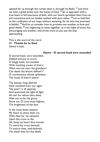opened for us through the curtain (that is, through his flesh), **<sup>21</sup>** and since we have a great priest over the house of God, **<sup>22</sup>** let us approach with a true heart in full assurance of faith, with our hearts sprinkled clean from an evil conscience and our bodies washed with pure water. **<sup>23</sup>** Let us hold fast to the confession of our hope without wavering, for he who has promised is faithful. **<sup>24</sup>** And let us consider how to provoke one another to love and good deeds, **<sup>25</sup>** not neglecting to meet together, as is the habit of some, but encouraging one another, and all the more as you see the Day approaching.

This is the word of the Lord. *All* **Thanks be to God.** *Silence is kept.*

#### **Hymn - O sacred head sore wounded**

O sacred head, sore wounded, Defiled and put to scorn: O kingly head, surrounded With mocking crown of thorn; What sorrow mars thy grandeur? Can death thy bloom deflow'r? O countenance whose splendour The hosts of heav'n adore!

Thy beauty, long desired, Hath vanished from our sight: Thy pow'r is all expired, And quenched the light of light. Ah me! for whom thou diest, Hide not so far thy grace: Show me, O Love most highest, The brightness of thy face.

In thy most bitter passion My heart to share doth cry. With thee for my salvation Upon the cross to die. Ah, keep my heart thus moved To stand thy cross beneath, To mourn thee, well-beloved, Yet thank thee for thy death.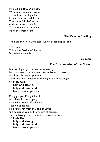My days are few, O fail not, With thine immortal pow'r, To hold me that I quail not In death's most fearful hour: That I may fight befriended, And see in my last strife To me thine arms extended Upon the cross of life.

# **The Passion Reading**

The Passion of our Lord Jesus Christ according to John.

*At the end* This is the Passion of the Lord. *No response is made.*

**Sermon**

# **The Proclamation of the Cross**

Is it nothing to you, all you who pass by? Look and see if there is any sorrow like my sorrow which was brought upon me, which the Lord inflicted on the day of his fierce anger. *All* **Holy God,**

#### **holy and strong, holy and immortal, have mercy upon us.**

O my people, O my Church, what have I done to you, or in what have I offended you? Testify against me. I led you forth from the land of Egypt, and delivered you by the waters of baptism, but you have prepared a cross for your Saviour. *All* **Holy God, holy and strong, holy and immortal, have mercy upon us.**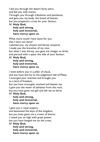I led you through the desert forty years, and fed you with manna.

I brought you through tribulation and penitence,

and gave you my body, the bread of heaven,

but you prepared a cross for your Saviour.

# *All* **Holy God,**

**holy and strong, holy and immortal, have mercy upon us.**

What more could I have done for you that I have not done? I planted you, my chosen and fairest vineyard, I made you the branches of my vine; but when I was thirsty, you gave me vinegar to drink,

and pierced with a spear the side of your Saviour.

# *All* **Holy God,**

# **holy and strong, holy and immortal, have mercy upon us.**

I went before you in a pillar of cloud, and you have led me to the judgement hall of Pilate. I scourged your enemies and brought you to a land of freedom,

but you have scourged, mocked and beaten me. I gave you the water of salvation from the rock, but you have given me gall and left me to thirst.

# *All* **Holy God,**

**holy and strong, holy and immortal, have mercy upon us.**

I gave you a royal sceptre, and bestowed the keys of the kingdom, but you have given me a crown of thorns. I raised you on high with great power, but you have hanged me on the cross.

#### *All* **Holy God,**

**holy and strong, holy and immortal, have mercy upon us.**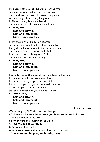My peace I gave, which the world cannot give, and washed your feet as a sign of my love, but you draw the sword to strike in my name, and seek high places in my kingdom. I offered you my body and blood, but you scatter and deny and abandon me.

# *All* **Holy God,**

**holy and strong, holy and immortal, have mercy upon us.**

I sent the Spirit of truth to guide you, and you close your hearts to the Counsellor. I pray that all may be one in the Father and me, but you continue to quarrel and divide. I call you to go and bring forth fruit, but you cast lots for my clothing. *All* **Holy God,**

# **holy and strong,**

**holy and immortal, have mercy upon us.**

I came to you as the least of your brothers and sisters; I was hungry and you gave me no food, I was thirsty and you gave me no drink, I was a stranger and you did not welcome me, naked and you did not clothe me, sick and in prison and you did not visit me.

# *All* **Holy God,**

**holy and strong, holy and immortal, have mercy upon us.**

# **Acclamations**

We adore you, O Christ, and we bless you,

*All* **because by your holy cross you have redeemed the world.**

This is the wood of the cross,

on which hung the Saviour of the world.

# *All* **Come, let us worship.**

O Saviour of the world,

who by your cross and precious blood have redeemed us,

*All* **save us and help us, we humbly pray.**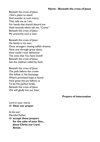#### **Hymn - Beneath the cross of Jesus**

Beneath the cross of Jesus I find a place to stand, And wonder at such mercy That calls me as I am; For hands that should discard me Hold wounds which tell me, "Come." Beneath the cross of Jesus My unworthy soul is won.

Beneath the cross of Jesus His family is my own Once strangers chasing selfish dreams, Now one through grace alone. How could I now dishonour The ones that You have loved? Beneath the cross of Jesus See the children called by God.

Beneath the cross of Jesus The path before the crown We follow in His footsteps Where promised hope is found. How great the joy before us To be His perfect bride; Beneath the cross of Jesus We will gladly live our lives

**Prayers of intercession**

Lord in your mercy *All* **Hear our prayer**

*At the end* Merciful Father,

*All* **accept these prayers for the sake of your Son, Jesus Christ our Lord. Amen.**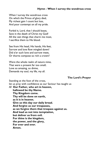#### **Hymn - When I survey the wondrous cross**

When I survey the wondrous cross On which the Prince of glory died, My richest gain I count but loss, And pour contempt on all my pride.

Forbid it, Lord, that I should boast, Save in the death of Christ my God! All the vain things that charm me most, I sacrifice them to His blood.

See from His head, His hands, His feet, Sorrow and love flow mingled down! Did e'er such love and sorrow meet, Or thorns compose so rich a crown?

Were the whole realm of nature mine, That were a present far too small; Love so amazing, so divine, Demands my soul, my life, my all.

**The Lord's Prayer**

Standing at the foot of the cross, let us pray with confidence as our Saviour has taught us

*All* **Our Father, who art in heaven, hallowed be thy Name. Thy Kingdom come. Thy will be done on earth, as it is in heaven. Give us this day our daily bread. And forgive us our trespasses, as we forgive them that trespass against us. And lead us not into temptation, but deliver us from evil. For thine is the kingdom, the power, and the glory, For ever and ever. Amen.**